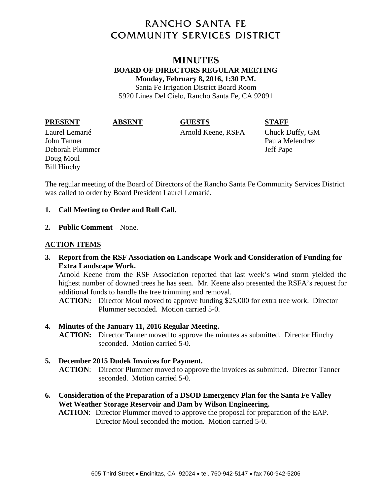# **RANCHO SANTA FE COMMUNITY SERVICES DISTRICT**

# **MINUTES BOARD OF DIRECTORS REGULAR MEETING Monday, February 8, 2016, 1:30 P.M.**  Santa Fe Irrigation District Board Room

5920 Linea Del Cielo, Rancho Santa Fe, CA 92091

**PRESENT ABSENT GUESTS STAFF** 

John Tanner Paula Melendrez Deborah Plummer Jeff Pape Doug Moul Bill Hinchy

Laurel Lemarié Arnold Keene, RSFA Chuck Duffy, GM

The regular meeting of the Board of Directors of the Rancho Santa Fe Community Services District was called to order by Board President Laurel Lemarié.

### **1. Call Meeting to Order and Roll Call.**

**2. Public Comment** – None.

### **ACTION ITEMS**

**3. Report from the RSF Association on Landscape Work and Consideration of Funding for Extra Landscape Work.** 

Arnold Keene from the RSF Association reported that last week's wind storm yielded the highest number of downed trees he has seen. Mr. Keene also presented the RSFA's request for additional funds to handle the tree trimming and removal.

**ACTION:** Director Moul moved to approve funding \$25,000 for extra tree work. Director Plummer seconded. Motion carried 5-0.

#### **4. Minutes of the January 11, 2016 Regular Meeting.**

**ACTION:** Director Tanner moved to approve the minutes as submitted. Director Hinchy seconded. Motion carried 5-0.

# **5. December 2015 Dudek Invoices for Payment.**

**ACTION**: Director Plummer moved to approve the invoices as submitted. Director Tanner seconded. Motion carried 5-0.

**6. Consideration of the Preparation of a DSOD Emergency Plan for the Santa Fe Valley Wet Weather Storage Reservoir and Dam by Wilson Engineering.** 

**ACTION**: Director Plummer moved to approve the proposal for preparation of the EAP. Director Moul seconded the motion. Motion carried 5-0.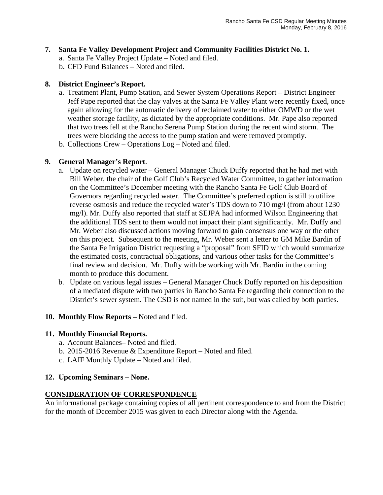#### **7. Santa Fe Valley Development Project and Community Facilities District No. 1.**

- a. Santa Fe Valley Project Update Noted and filed.
- b. CFD Fund Balances Noted and filed.

#### **8. District Engineer's Report.**

- a. Treatment Plant, Pump Station, and Sewer System Operations Report District Engineer Jeff Pape reported that the clay valves at the Santa Fe Valley Plant were recently fixed, once again allowing for the automatic delivery of reclaimed water to either OMWD or the wet weather storage facility, as dictated by the appropriate conditions. Mr. Pape also reported that two trees fell at the Rancho Serena Pump Station during the recent wind storm. The trees were blocking the access to the pump station and were removed promptly.
- b. Collections Crew Operations Log Noted and filed.

#### **9. General Manager's Report**.

- a. Update on recycled water General Manager Chuck Duffy reported that he had met with Bill Weber, the chair of the Golf Club's Recycled Water Committee, to gather information on the Committee's December meeting with the Rancho Santa Fe Golf Club Board of Governors regarding recycled water. The Committee's preferred option is still to utilize reverse osmosis and reduce the recycled water's TDS down to 710 mg/l (from about 1230 mg/l). Mr. Duffy also reported that staff at SEJPA had informed Wilson Engineering that the additional TDS sent to them would not impact their plant significantly. Mr. Duffy and Mr. Weber also discussed actions moving forward to gain consensus one way or the other on this project. Subsequent to the meeting, Mr. Weber sent a letter to GM Mike Bardin of the Santa Fe Irrigation District requesting a "proposal" from SFID which would summarize the estimated costs, contractual obligations, and various other tasks for the Committee's final review and decision. Mr. Duffy with be working with Mr. Bardin in the coming month to produce this document.
- b. Update on various legal issues General Manager Chuck Duffy reported on his deposition of a mediated dispute with two parties in Rancho Santa Fe regarding their connection to the District's sewer system. The CSD is not named in the suit, but was called by both parties.

#### **10. Monthly Flow Reports –** Noted and filed.

#### **11. Monthly Financial Reports.**

- a. Account Balances– Noted and filed.
- b. 2015-2016 Revenue & Expenditure Report Noted and filed.
- c. LAIF Monthly Update Noted and filed.

#### **12. Upcoming Seminars – None.**

### **CONSIDERATION OF CORRESPONDENCE**

An informational package containing copies of all pertinent correspondence to and from the District for the month of December 2015 was given to each Director along with the Agenda.